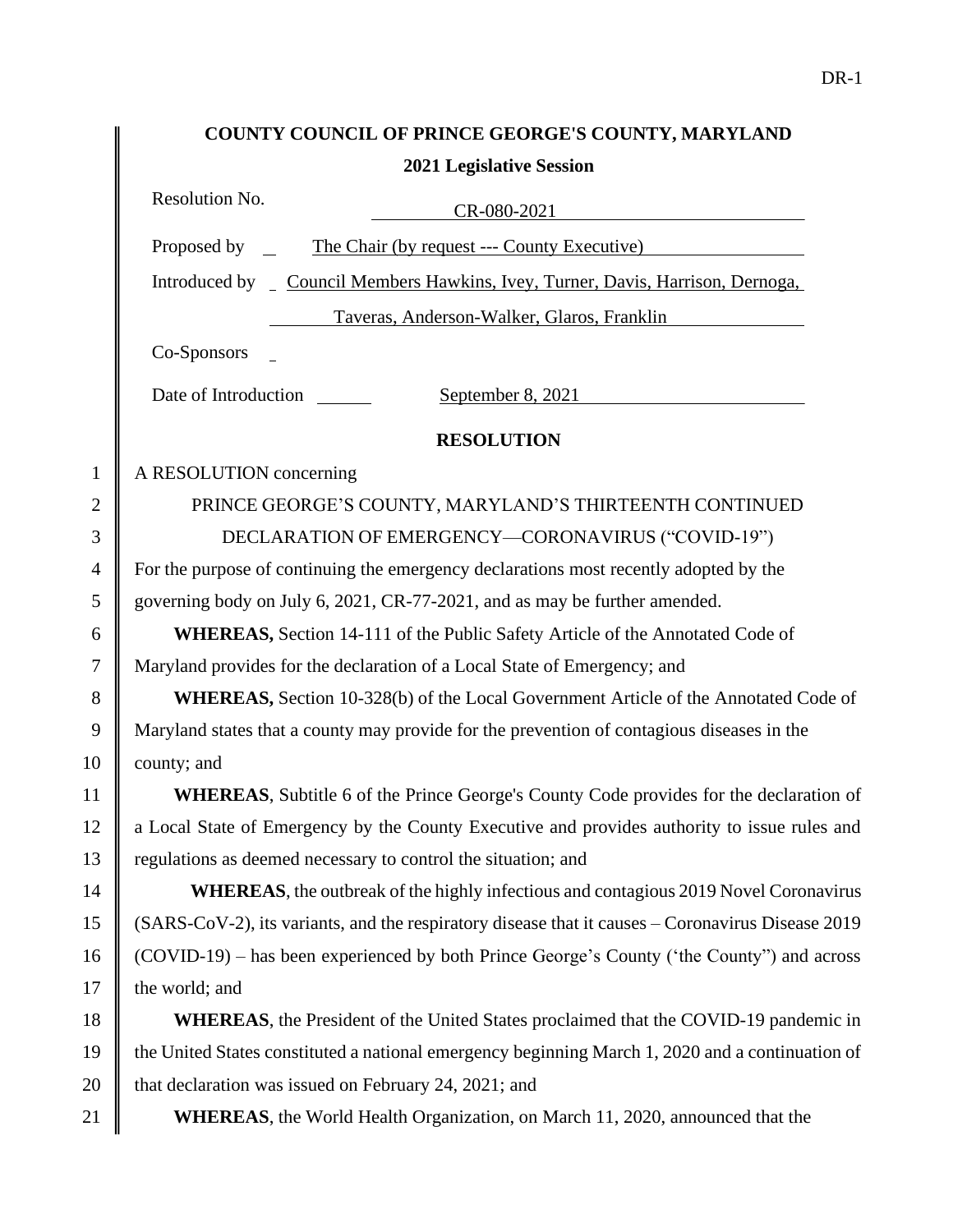|                | COUNTY COUNCIL OF PRINCE GEORGE'S COUNTY, MARYLAND                                                |
|----------------|---------------------------------------------------------------------------------------------------|
|                | <b>2021 Legislative Session</b>                                                                   |
|                | Resolution No.<br>$CR-080-2021$                                                                   |
|                | The Chair (by request --- County Executive)<br>Proposed by $\qquad$                               |
|                | Introduced by _ Council Members Hawkins, Ivey, Turner, Davis, Harrison, Dernoga,                  |
|                | Taveras, Anderson-Walker, Glaros, Franklin                                                        |
|                | Co-Sponsors                                                                                       |
|                | Date of Introduction<br>September 8, $2021$                                                       |
|                | <b>RESOLUTION</b>                                                                                 |
| $\mathbf{1}$   | A RESOLUTION concerning                                                                           |
| $\overline{2}$ | PRINCE GEORGE'S COUNTY, MARYLAND'S THIRTEENTH CONTINUED                                           |
| 3              | DECLARATION OF EMERGENCY-CORONAVIRUS ("COVID-19")                                                 |
| $\overline{4}$ | For the purpose of continuing the emergency declarations most recently adopted by the             |
| 5              | governing body on July 6, 2021, CR-77-2021, and as may be further amended.                        |
| 6              | <b>WHEREAS, Section 14-111 of the Public Safety Article of the Annotated Code of</b>              |
| $\tau$         | Maryland provides for the declaration of a Local State of Emergency; and                          |
| 8              | WHEREAS, Section 10-328(b) of the Local Government Article of the Annotated Code of               |
| 9              | Maryland states that a county may provide for the prevention of contagious diseases in the        |
| 10             | county; and                                                                                       |
| 11             | <b>WHEREAS</b> , Subtitle 6 of the Prince George's County Code provides for the declaration of    |
| 12             | a Local State of Emergency by the County Executive and provides authority to issue rules and      |
| 13             | regulations as deemed necessary to control the situation; and                                     |
| 14             | <b>WHEREAS</b> , the outbreak of the highly infectious and contagious 2019 Novel Coronavirus      |
| 15             | (SARS-CoV-2), its variants, and the respiratory disease that it causes – Coronavirus Disease 2019 |
| 16             | (COVID-19) – has been experienced by both Prince George's County ('the County") and across        |
| 17             | the world; and                                                                                    |
| 18             | <b>WHEREAS</b> , the President of the United States proclaimed that the COVID-19 pandemic in      |
| 19             | the United States constituted a national emergency beginning March 1, 2020 and a continuation of  |
| 20             | that declaration was issued on February 24, 2021; and                                             |
| 21             | <b>WHEREAS</b> , the World Health Organization, on March 11, 2020, announced that the             |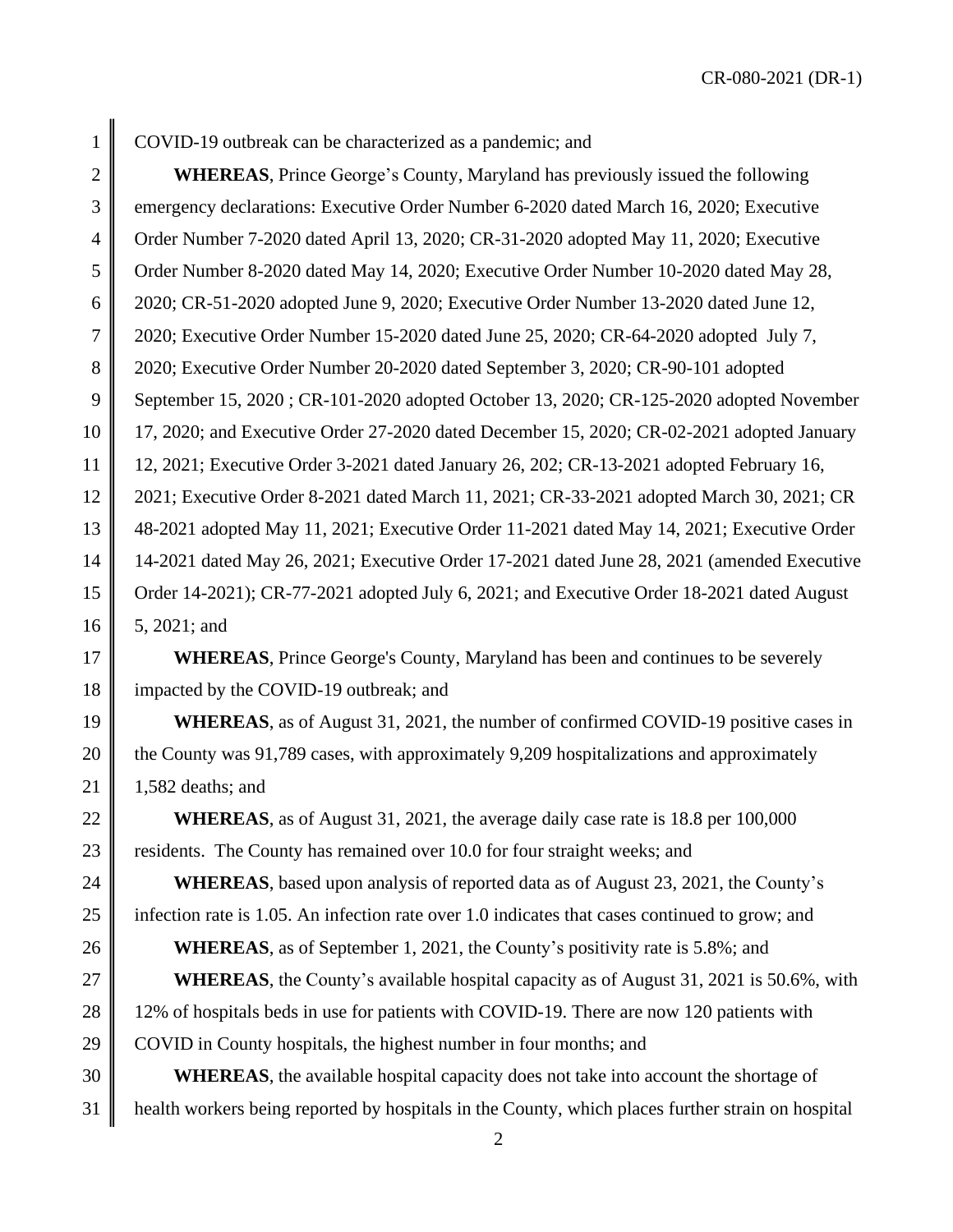CR-080-2021 (DR-1)

1 COVID-19 outbreak can be characterized as a pandemic; and

2 **WHEREAS**, Prince George's County, Maryland has previously issued the following 3 emergency declarations: Executive Order Number 6-2020 dated March 16, 2020; Executive 4 Crder Number 7-2020 dated April 13, 2020; CR-31-2020 adopted May 11, 2020; Executive 5 Order Number 8-2020 dated May 14, 2020; Executive Order Number 10-2020 dated May 28, 6 2020; CR-51-2020 adopted June 9, 2020; Executive Order Number 13-2020 dated June 12, 7 2020; Executive Order Number 15-2020 dated June 25, 2020; CR-64-2020 adopted July 7, 8 2020; Executive Order Number 20-2020 dated September 3, 2020; CR-90-101 adopted 9 September 15, 2020 ; CR-101-2020 adopted October 13, 2020; CR-125-2020 adopted November 10 17, 2020; and Executive Order 27-2020 dated December 15, 2020; CR-02-2021 adopted January 11 12, 2021; Executive Order 3-2021 dated January 26, 202; CR-13-2021 adopted February 16, 12 2021; Executive Order 8-2021 dated March 11, 2021; CR-33-2021 adopted March 30, 2021; CR 13 48-2021 adopted May 11, 2021; Executive Order 11-2021 dated May 14, 2021; Executive Order 14 14-2021 dated May 26, 2021; Executive Order 17-2021 dated June 28, 2021 (amended Executive 15 Crder 14-2021); CR-77-2021 adopted July 6, 2021; and Executive Order 18-2021 dated August  $16 \parallel 5, 2021$ ; and

17 **WHEREAS**, Prince George's County, Maryland has been and continues to be severely 18 impacted by the COVID-19 outbreak; and

19 **WHEREAS**, as of August 31, 2021, the number of confirmed COVID-19 positive cases in 20 the County was 91,789 cases, with approximately 9,209 hospitalizations and approximately 21 | 1,582 deaths; and

22 **WHEREAS**, as of August 31, 2021, the average daily case rate is 18.8 per 100,000 23 residents. The County has remained over 10.0 for four straight weeks; and

24 **WHEREAS**, based upon analysis of reported data as of August 23, 2021, the County's 25 infection rate is 1.05. An infection rate over 1.0 indicates that cases continued to grow; and 26 **WHEREAS**, as of September 1, 2021, the County's positivity rate is 5.8%; and

27 **WHEREAS**, the County's available hospital capacity as of August 31, 2021 is 50.6%, with 28 12% of hospitals beds in use for patients with COVID-19. There are now 120 patients with 29 COVID in County hospitals, the highest number in four months; and

30 **WHEREAS**, the available hospital capacity does not take into account the shortage of 31 health workers being reported by hospitals in the County, which places further strain on hospital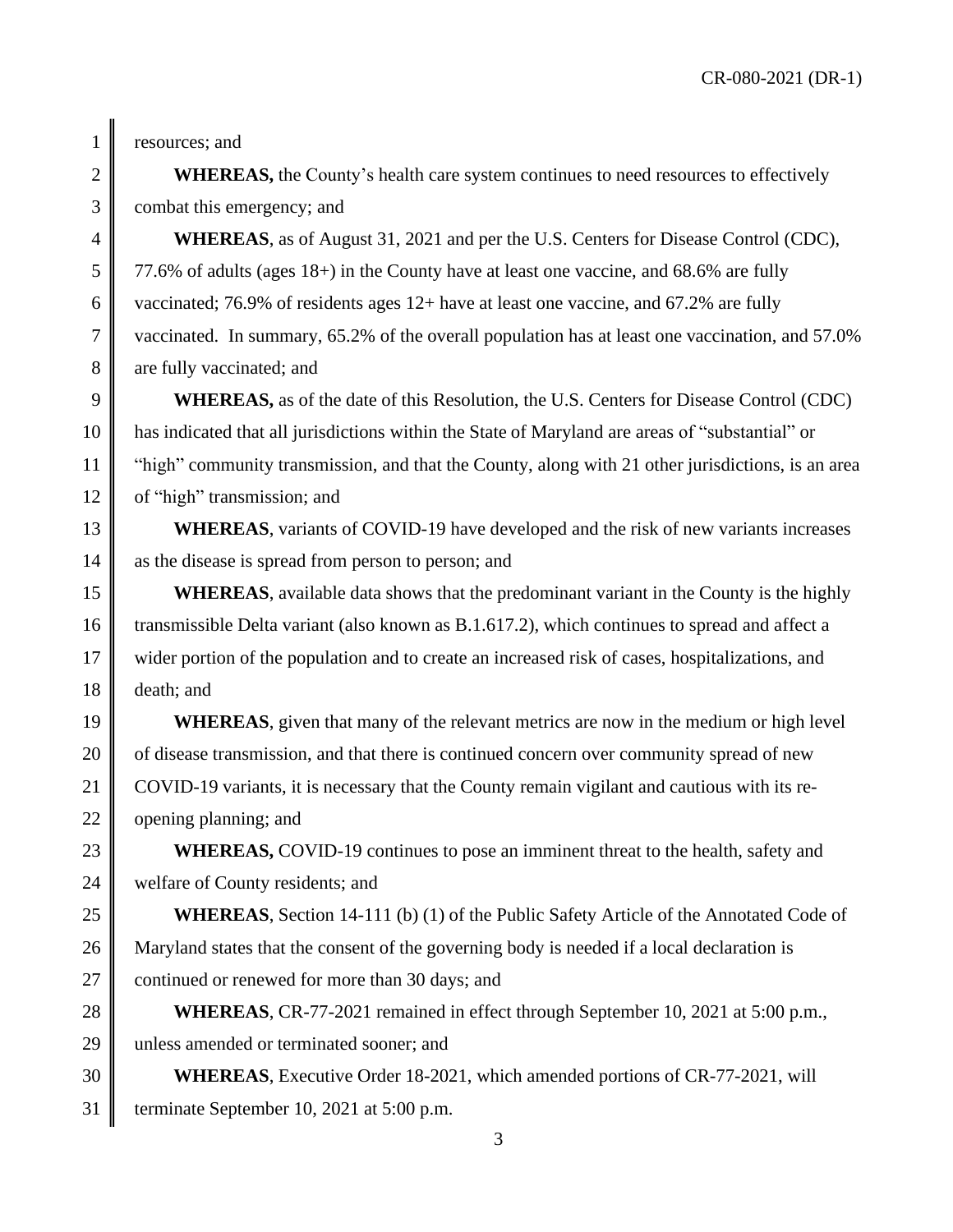CR-080-2021 (DR-1)

1 resources; and

2 **WHEREAS,** the County's health care system continues to need resources to effectively 3 combat this emergency; and

4 **WHEREAS**, as of August 31, 2021 and per the U.S. Centers for Disease Control (CDC),  $5 \parallel 77.6\%$  of adults (ages 18+) in the County have at least one vaccine, and 68.6% are fully 6 vaccinated; 76.9% of residents ages 12+ have at least one vaccine, and 67.2% are fully 7 vaccinated. In summary, 65.2% of the overall population has at least one vaccination, and 57.0% 8 are fully vaccinated; and

9 **WHEREAS,** as of the date of this Resolution, the U.S. Centers for Disease Control (CDC) 10 has indicated that all jurisdictions within the State of Maryland are areas of "substantial" or 11 "high" community transmission, and that the County, along with 21 other jurisdictions, is an area 12 of "high" transmission; and

13 **WHEREAS**, variants of COVID-19 have developed and the risk of new variants increases 14 as the disease is spread from person to person; and

**WHEREAS**, available data shows that the predominant variant in the County is the highly 16 transmissible Delta variant (also known as B.1.617.2), which continues to spread and affect a 17 wider portion of the population and to create an increased risk of cases, hospitalizations, and 18 death; and

19 **WHEREAS**, given that many of the relevant metrics are now in the medium or high level 20 of disease transmission, and that there is continued concern over community spread of new 21 COVID-19 variants, it is necessary that the County remain vigilant and cautious with its re-22  $\parallel$  opening planning; and

23 **WHEREAS, COVID-19** continues to pose an imminent threat to the health, safety and 24 welfare of County residents; and

25 **WHEREAS**, Section 14-111 (b) (1) of the Public Safety Article of the Annotated Code of 26 Maryland states that the consent of the governing body is needed if a local declaration is 27 continued or renewed for more than 30 days; and

28 **WHEREAS**, CR-77-2021 remained in effect through September 10, 2021 at 5:00 p.m., 29 unless amended or terminated sooner; and

30 **WHEREAS**, Executive Order 18-2021, which amended portions of CR-77-2021, will 31 terminate September 10, 2021 at 5:00 p.m.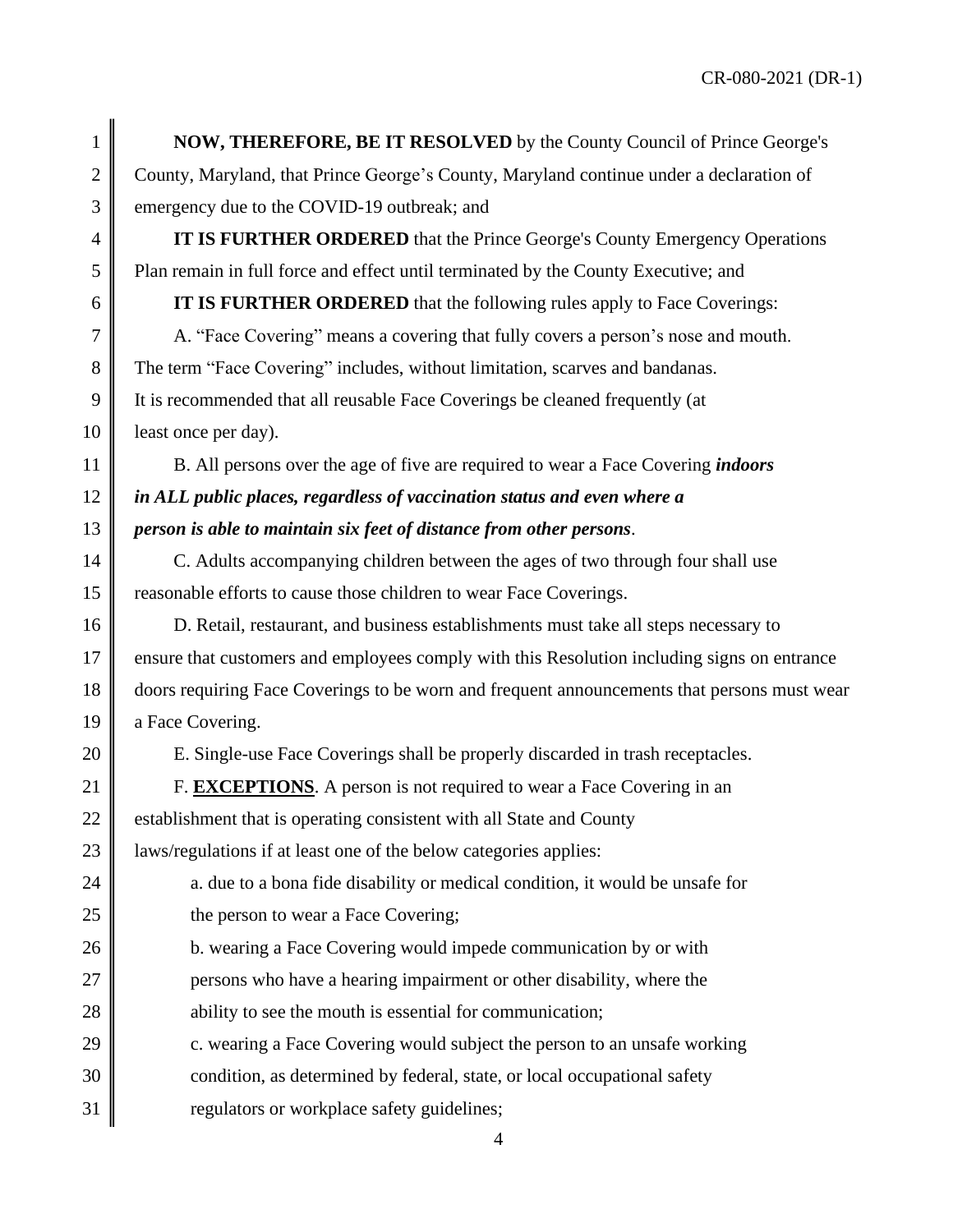1 **NOW, THEREFORE, BE IT RESOLVED** by the County Council of Prince George's 2 County, Maryland, that Prince George's County, Maryland continue under a declaration of 3 emergency due to the COVID-19 outbreak; and

4 **IT IS FURTHER ORDERED** that the Prince George's County Emergency Operations 5 Plan remain in full force and effect until terminated by the County Executive; and

6 **IT IS FURTHER ORDERED** that the following rules apply to Face Coverings:

 A. "Face Covering" means a covering that fully covers a person's nose and mouth. 8 The term "Face Covering" includes, without limitation, scarves and bandanas. It is recommended that all reusable Face Coverings be cleaned frequently (at **least once per day**).

11 B. All persons over the age of five are required to wear a Face Covering *indoors* 12 *in ALL public places, regardless of vaccination status and even where a* 13 *person is able to maintain six feet of distance from other persons*.

14 C. Adults accompanying children between the ages of two through four shall use 15 Treasonable efforts to cause those children to wear Face Coverings.

16 D. Retail, restaurant, and business establishments must take all steps necessary to 17 ensure that customers and employees comply with this Resolution including signs on entrance 18 doors requiring Face Coverings to be worn and frequent announcements that persons must wear 19 a Face Covering.

20 E. Single-use Face Coverings shall be properly discarded in trash receptacles.

21 **F. EXCEPTIONS**. A person is not required to wear a Face Covering in an

22  $\parallel$  establishment that is operating consistent with all State and County

23 | laws/regulations if at least one of the below categories applies:

24  $\parallel$  a. due to a bona fide disability or medical condition, it would be unsafe for 25 **the person to wear a Face Covering;** 

- 26 **b.** wearing a Face Covering would impede communication by or with
- 27 **persons who have a hearing impairment or other disability, where the**
- 28 ability to see the mouth is essential for communication;
- 29  $\parallel$  c. wearing a Face Covering would subject the person to an unsafe working
- 30 condition, as determined by federal, state, or local occupational safety
- 31 **T** regulators or workplace safety guidelines;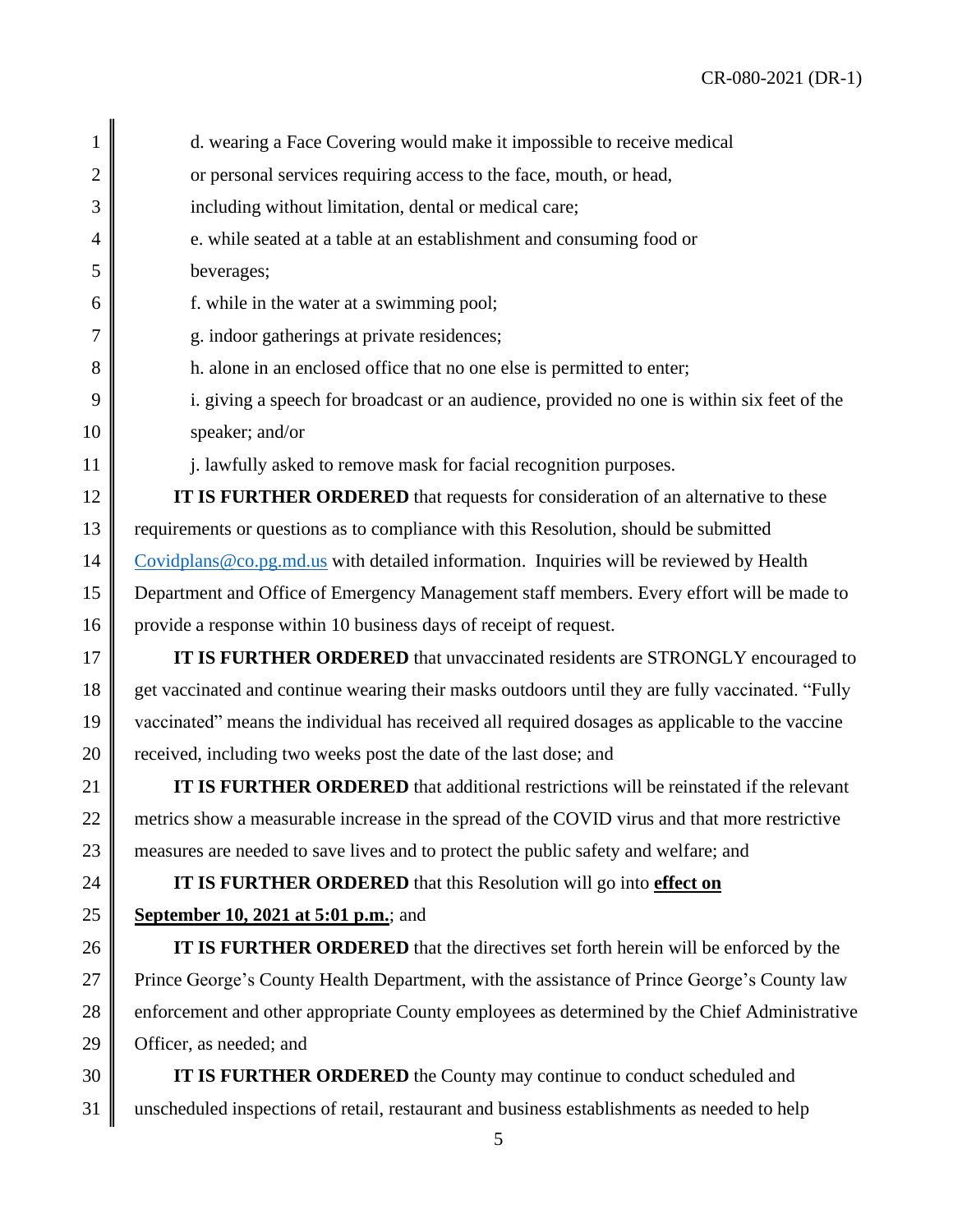| 1              | d. wearing a Face Covering would make it impossible to receive medical                           |
|----------------|--------------------------------------------------------------------------------------------------|
| $\overline{2}$ | or personal services requiring access to the face, mouth, or head,                               |
| 3              | including without limitation, dental or medical care;                                            |
| 4              | e. while seated at a table at an establishment and consuming food or                             |
| 5              | beverages;                                                                                       |
| 6              | f. while in the water at a swimming pool;                                                        |
| 7              | g. indoor gatherings at private residences;                                                      |
| 8              | h. alone in an enclosed office that no one else is permitted to enter;                           |
| 9              | i. giving a speech for broadcast or an audience, provided no one is within six feet of the       |
| 10             | speaker; and/or                                                                                  |
| 11             | j. lawfully asked to remove mask for facial recognition purposes.                                |
| 12             | IT IS FURTHER ORDERED that requests for consideration of an alternative to these                 |
| 13             | requirements or questions as to compliance with this Resolution, should be submitted             |
| 14             | Covidplans@co.pg.md.us with detailed information. Inquiries will be reviewed by Health           |
| 15             | Department and Office of Emergency Management staff members. Every effort will be made to        |
| 16             | provide a response within 10 business days of receipt of request.                                |
| 17             | IT IS FURTHER ORDERED that unvaccinated residents are STRONGLY encouraged to                     |
| 18             | get vaccinated and continue wearing their masks outdoors until they are fully vaccinated. "Fully |
| 19             | vaccinated" means the individual has received all required dosages as applicable to the vaccine  |
| 20             | received, including two weeks post the date of the last dose; and                                |
| 21             | IT IS FURTHER ORDERED that additional restrictions will be reinstated if the relevant            |
| 22             | metrics show a measurable increase in the spread of the COVID virus and that more restrictive    |
| 23             | measures are needed to save lives and to protect the public safety and welfare; and              |
| 24             | IT IS FURTHER ORDERED that this Resolution will go into effect on                                |
| 25             | September 10, 2021 at 5:01 p.m.; and                                                             |
| 26             | <b>IT IS FURTHER ORDERED</b> that the directives set forth herein will be enforced by the        |
| 27             | Prince George's County Health Department, with the assistance of Prince George's County law      |
| 28             | enforcement and other appropriate County employees as determined by the Chief Administrative     |
| 29             | Officer, as needed; and                                                                          |

30 **IT IS FURTHER ORDERED** the County may continue to conduct scheduled and 31 unscheduled inspections of retail, restaurant and business establishments as needed to help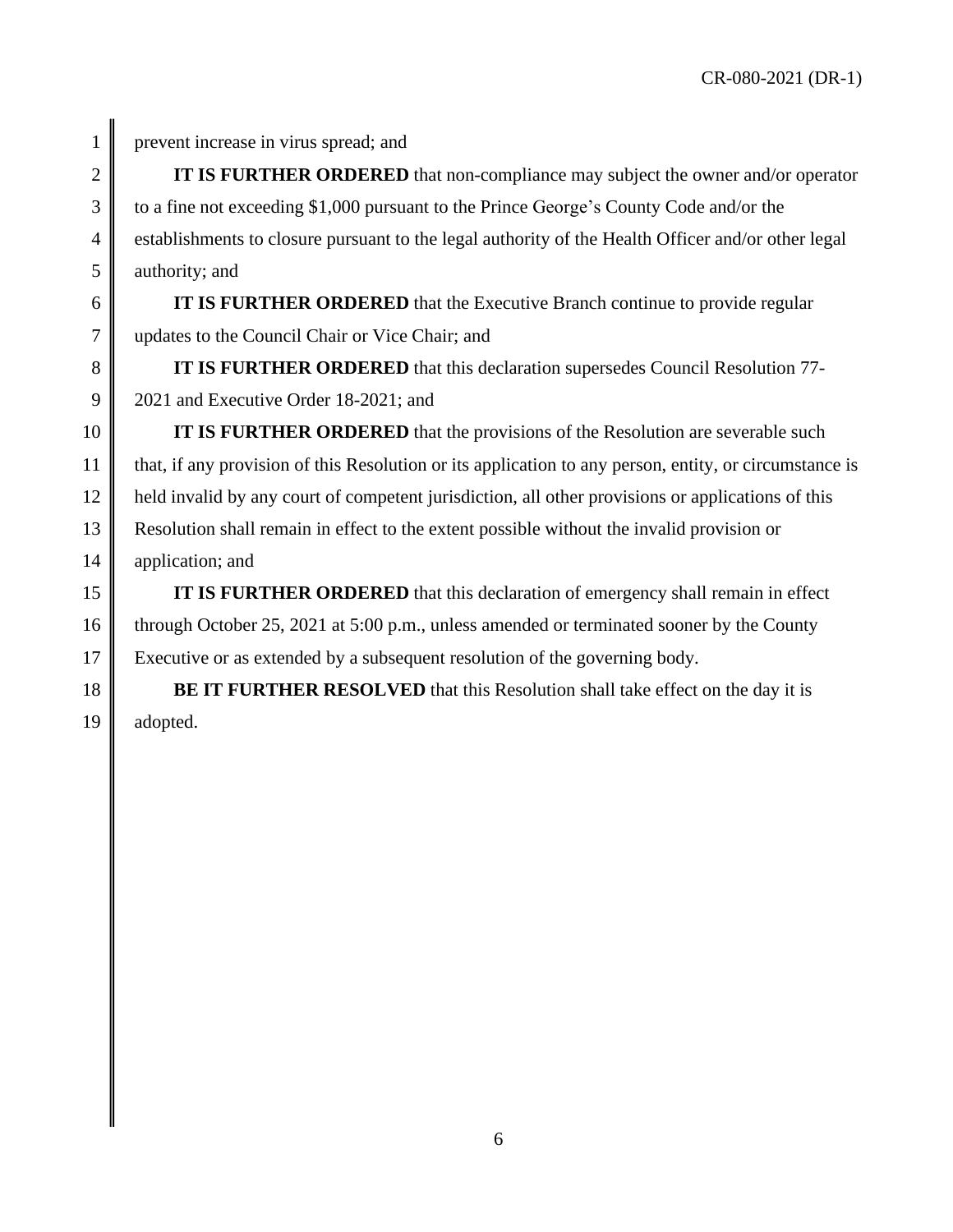CR-080-2021 (DR-1)

1 prevent increase in virus spread; and

2 **IT IS FURTHER ORDERED** that non-compliance may subject the owner and/or operator 3 to a fine not exceeding \$1,000 pursuant to the Prince George's County Code and/or the 4 establishments to closure pursuant to the legal authority of the Health Officer and/or other legal  $5 \parallel$  authority; and

6 **IT IS FURTHER ORDERED** that the Executive Branch continue to provide regular 7 updates to the Council Chair or Vice Chair; and

8 **IT IS FURTHER ORDERED** that this declaration supersedes Council Resolution 77- 9 2021 and Executive Order 18-2021; and

10 **IT IS FURTHER ORDERED** that the provisions of the Resolution are severable such 11 that, if any provision of this Resolution or its application to any person, entity, or circumstance is 12 held invalid by any court of competent jurisdiction, all other provisions or applications of this 13 Resolution shall remain in effect to the extent possible without the invalid provision or 14 || application; and

15 **IT IS FURTHER ORDERED** that this declaration of emergency shall remain in effect 16 through October 25, 2021 at 5:00 p.m., unless amended or terminated sooner by the County 17 Executive or as extended by a subsequent resolution of the governing body.

18 **BE IT FURTHER RESOLVED** that this Resolution shall take effect on the day it is 19 adopted.